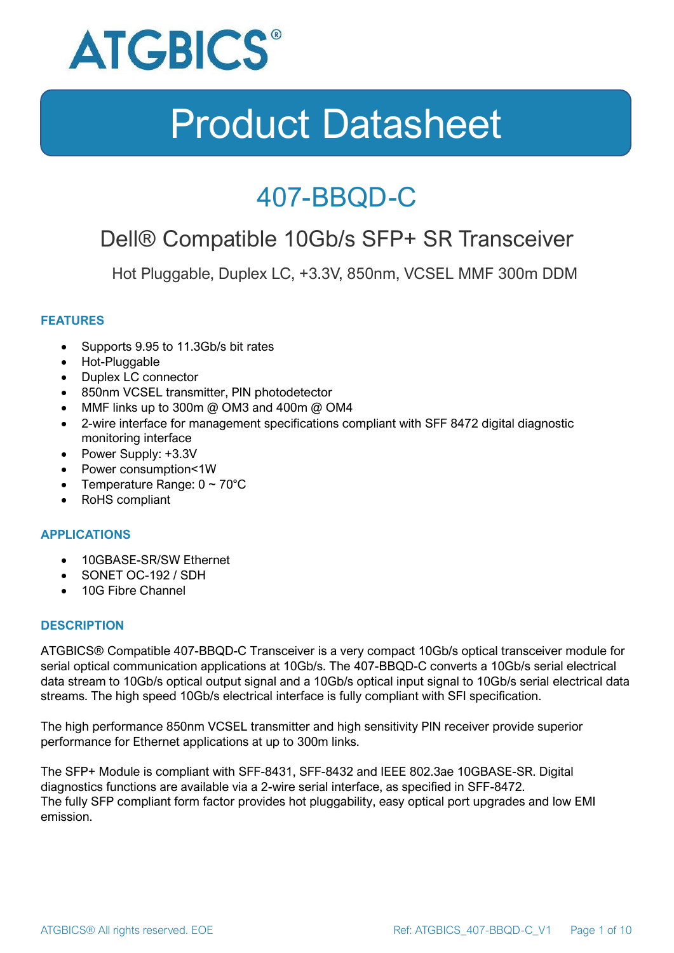

### 407-BBQD-C

### Dell® Compatible 10Gb/s SFP+ SR Transceiver

Hot Pluggable, Duplex LC, +3.3V, 850nm, VCSEL MMF 300m DDM

#### **FEATURES**

- Supports 9.95 to 11.3Gb/s bit rates
- Hot-Pluggable
- Duplex LC connector
- 850nm VCSEL transmitter, PIN photodetector
- MMF links up to 300m @ OM3 and 400m @ OM4
- 2-wire interface for management specifications compliant with SFF 8472 digital diagnostic monitoring interface
- Power Supply: +3.3V
- Power consumption<1W
- Temperature Range:  $0 \sim 70^{\circ}$ C
- RoHS compliant

#### **APPLICATIONS**

- 10GBASE-SR/SW Ethernet
- SONET OC-192 / SDH
- 10G Fibre Channel

#### **DESCRIPTION**

ATGBICS® Compatible 407-BBQD-C Transceiver is a very compact 10Gb/s optical transceiver module for serial optical communication applications at 10Gb/s. The 407-BBQD-C converts a 10Gb/s serial electrical data stream to 10Gb/s optical output signal and a 10Gb/s optical input signal to 10Gb/s serial electrical data streams. The high speed 10Gb/s electrical interface is fully compliant with SFI specification.

The high performance 850nm VCSEL transmitter and high sensitivity PIN receiver provide superior performance for Ethernet applications at up to 300m links.

The SFP+ Module is compliant with SFF-8431, SFF-8432 and IEEE 802.3ae 10GBASE-SR. Digital diagnostics functions are available via a 2-wire serial interface, as specified in SFF-8472. The fully SFP compliant form factor provides hot pluggability, easy optical port upgrades and low EMI emission.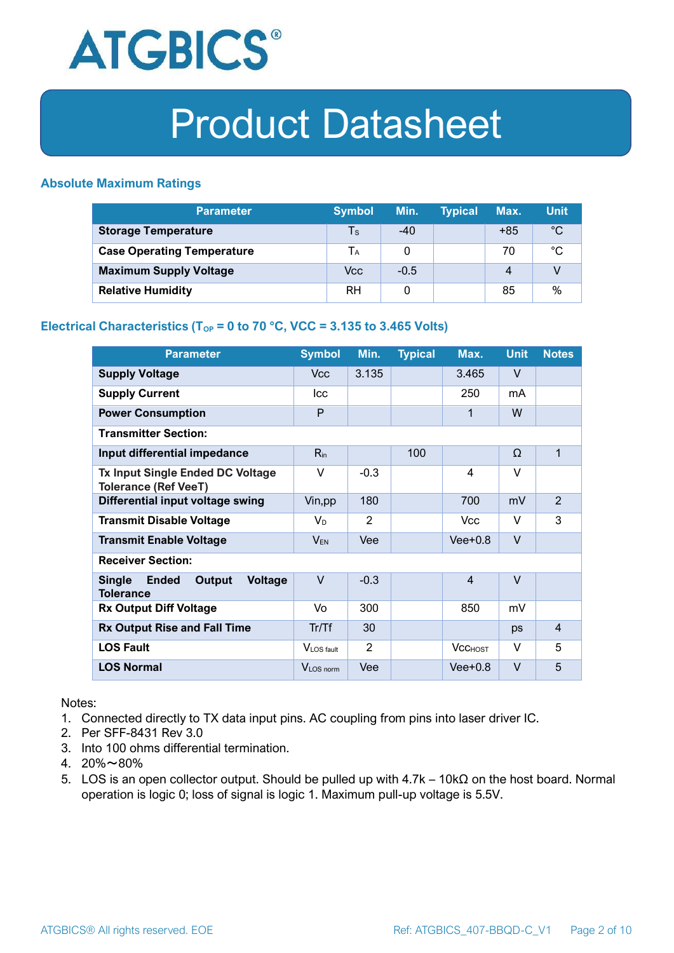

#### **Absolute Maximum Ratings**

| <b>Parameter</b>                  | <b>Symbol</b> | Min.   | <b>Typical</b> | Max.  | <b>Unit</b> |
|-----------------------------------|---------------|--------|----------------|-------|-------------|
| <b>Storage Temperature</b>        | Ts            | $-40$  |                | $+85$ | $^{\circ}C$ |
| <b>Case Operating Temperature</b> | Tа            |        |                | 70    | °C          |
| <b>Maximum Supply Voltage</b>     | Vcc           | $-0.5$ |                | 4     |             |
| <b>Relative Humidity</b>          | RH            |        |                | 85    | %           |

#### **Electrical Characteristics (T<sub>OP</sub> = 0 to 70 °C, VCC = 3.135 to 3.465 Volts)**

| <b>Parameter</b>                                                              | <b>Symbol</b>         | Min.   | <b>Typical</b> | Max.           | <b>Unit</b> | <b>Notes</b>   |
|-------------------------------------------------------------------------------|-----------------------|--------|----------------|----------------|-------------|----------------|
| <b>Supply Voltage</b>                                                         | V <sub>cc</sub>       | 3.135  |                | 3.465          | $\vee$      |                |
| <b>Supply Current</b>                                                         | <b>Icc</b>            |        |                | 250            | mA          |                |
| <b>Power Consumption</b>                                                      | P                     |        |                | 1              | W           |                |
| <b>Transmitter Section:</b>                                                   |                       |        |                |                |             |                |
| Input differential impedance                                                  | $R_{in}$              |        | 100            |                | Ω           | 1              |
| <b>Tx Input Single Ended DC Voltage</b><br><b>Tolerance (Ref VeeT)</b>        | $\vee$                | $-0.3$ |                | $\overline{4}$ | $\vee$      |                |
| Differential input voltage swing                                              | Vin, pp               | 180    |                | 700            | mV          | $\overline{2}$ |
| <b>Transmit Disable Voltage</b>                                               | $V_D$                 | 2      |                | <b>Vcc</b>     | $\vee$      | 3              |
| <b>Transmit Enable Voltage</b>                                                | $V_{EN}$              | Vee    |                | $Vee+0.8$      | $\vee$      |                |
| <b>Receiver Section:</b>                                                      |                       |        |                |                |             |                |
| <b>Single</b><br><b>Ended</b><br>Output<br><b>Voltage</b><br><b>Tolerance</b> | $\vee$                | $-0.3$ |                | $\overline{4}$ | $\vee$      |                |
| <b>Rx Output Diff Voltage</b>                                                 | Vo                    | 300    |                | 850            | mV          |                |
| <b>Rx Output Rise and Fall Time</b>                                           | Tr/Tf                 | 30     |                |                | ps          | $\overline{4}$ |
| <b>LOS Fault</b>                                                              | VLOS fault            | 2      |                | <b>VCCHOST</b> | V           | 5              |
| <b>LOS Normal</b>                                                             | V <sub>LOS</sub> norm | Vee    |                | $Vee+0.8$      | $\vee$      | 5              |

Notes:

- 1. Connected directly to TX data input pins. AC coupling from pins into laser driver IC.
- 2. Per SFF-8431 Rev 3.0
- 3. Into 100 ohms differential termination.
- 4. 20%~80%
- 5. LOS is an open collector output. Should be pulled up with 4.7k 10kΩ on the host board. Normal operation is logic 0; loss of signal is logic 1. Maximum pull-up voltage is 5.5V.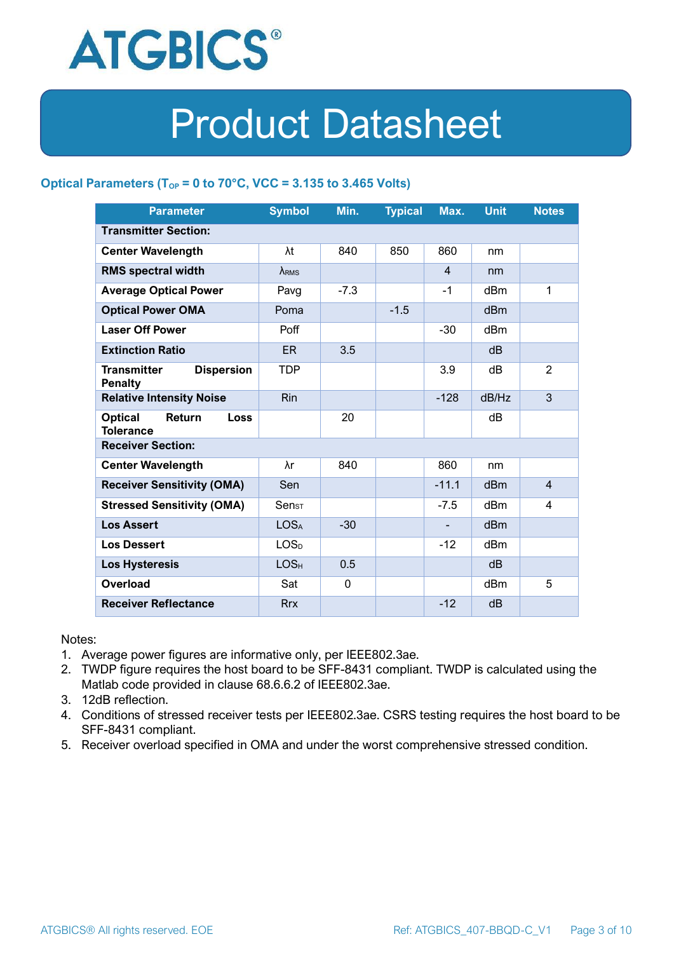

#### **Optical Parameters** ( $T_{OP} = 0$  to 70°C, VCC = 3.135 to 3.465 Volts)

| <b>Parameter</b>                                            | <b>Symbol</b>                | Min.        | <b>Typical</b> | Max.           | <b>Unit</b>     | <b>Notes</b>   |  |
|-------------------------------------------------------------|------------------------------|-------------|----------------|----------------|-----------------|----------------|--|
| <b>Transmitter Section:</b>                                 |                              |             |                |                |                 |                |  |
| <b>Center Wavelength</b>                                    | λt                           | 840         | 850            | 860            | nm              |                |  |
| <b>RMS spectral width</b>                                   | $\lambda_{RMS}$              |             |                | $\overline{4}$ | nm              |                |  |
| <b>Average Optical Power</b>                                | Pavg                         | $-7.3$      |                | $-1$           | dBm             | 1              |  |
| <b>Optical Power OMA</b>                                    | Poma                         |             | $-1.5$         |                | dBm             |                |  |
| <b>Laser Off Power</b>                                      | Poff                         |             |                | $-30$          | dBm             |                |  |
| <b>Extinction Ratio</b>                                     | ER.                          | 3.5         |                |                | dB              |                |  |
| <b>Dispersion</b><br><b>Transmitter</b><br><b>Penalty</b>   | <b>TDP</b>                   |             |                | 3.9            | dB              | $\overline{2}$ |  |
| <b>Relative Intensity Noise</b>                             | <b>Rin</b>                   |             |                | $-128$         | dB/Hz           | 3              |  |
| <b>Optical</b><br>Return<br><b>Loss</b><br><b>Tolerance</b> |                              | 20          |                |                | dB              |                |  |
| <b>Receiver Section:</b>                                    |                              |             |                |                |                 |                |  |
| <b>Center Wavelength</b>                                    | λr                           | 840         |                | 860            | nm              |                |  |
| <b>Receiver Sensitivity (OMA)</b>                           | Sen                          |             |                | $-11.1$        | dB <sub>m</sub> | $\overline{4}$ |  |
| <b>Stressed Sensitivity (OMA)</b>                           | $\mathsf{Sen}_{\mathsf{ST}}$ |             |                | $-7.5$         | dB <sub>m</sub> | 4              |  |
| <b>Los Assert</b>                                           | <b>LOSA</b>                  | $-30$       |                |                | d <sub>Bm</sub> |                |  |
| <b>Los Dessert</b>                                          | LOS <sub>D</sub>             |             |                | $-12$          | dBm             |                |  |
| <b>Los Hysteresis</b>                                       | LOS <sub>H</sub>             | 0.5         |                |                | dB              |                |  |
| Overload                                                    | Sat                          | $\mathbf 0$ |                |                | dBm             | 5              |  |
| <b>Receiver Reflectance</b>                                 | <b>Rrx</b>                   |             |                | $-12$          | dB              |                |  |

Notes:

- 1. Average power figures are informative only, per IEEE802.3ae.
- 2. TWDP figure requires the host board to be SFF-8431 compliant. TWDP is calculated using the Matlab code provided in clause 68.6.6.2 of IEEE802.3ae.
- 3. 12dB reflection.
- 4. Conditions of stressed receiver tests per IEEE802.3ae. CSRS testing requires the host board to be SFF-8431 compliant.
- 5. Receiver overload specified in OMA and under the worst comprehensive stressed condition.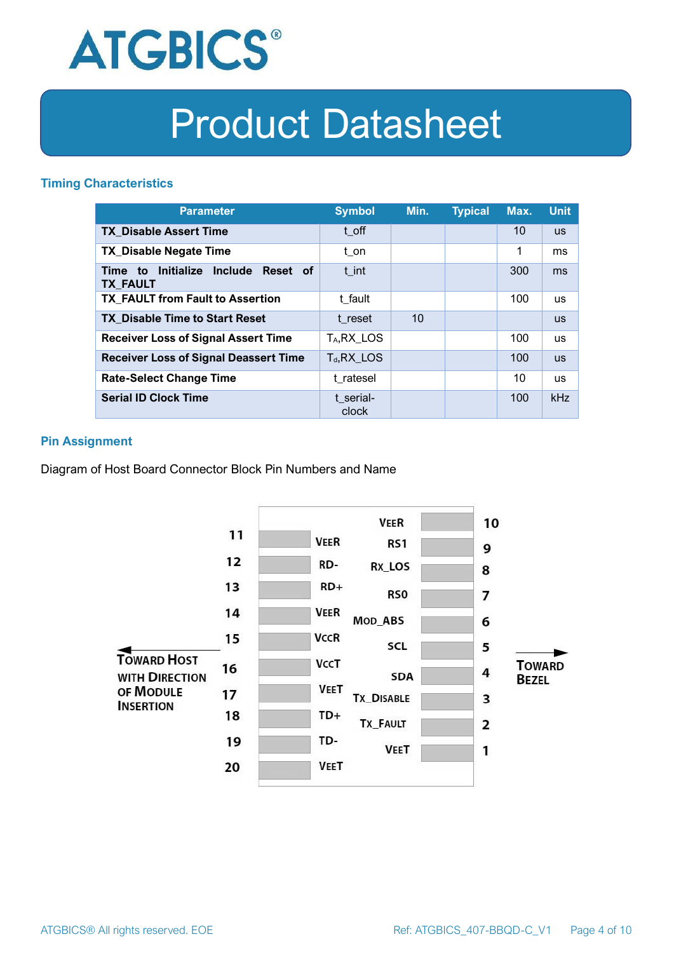

#### **Timing Characteristics**

| <b>Parameter</b>                                                          | <b>Symbol</b>         | Min. | <b>Typical</b> | Max. | <b>Unit</b> |
|---------------------------------------------------------------------------|-----------------------|------|----------------|------|-------------|
| <b>TX Disable Assert Time</b>                                             | t off                 |      |                | 10   | <b>US</b>   |
| <b>TX Disable Negate Time</b>                                             | t_on                  |      |                | 1    | ms          |
| Initialize<br><b>Include</b><br>Reset of<br>Time<br>to<br><b>TX FAULT</b> | t int                 |      |                | 300  | ms          |
| <b>TX FAULT from Fault to Assertion</b>                                   | t fault               |      |                | 100  | <b>us</b>   |
| <b>TX Disable Time to Start Reset</b>                                     | t reset               | 10   |                |      | <b>US</b>   |
| <b>Receiver Loss of Signal Assert Time</b>                                | T <sub>A</sub> RX LOS |      |                | 100  | <b>us</b>   |
| <b>Receiver Loss of Signal Deassert Time</b>                              | $T_d, RX$ LOS         |      |                | 100  | <b>US</b>   |
| <b>Rate-Select Change Time</b>                                            | t ratesel             |      |                | 10   | <b>us</b>   |
| <b>Serial ID Clock Time</b>                                               | t serial-<br>clock    |      |                | 100  | kHz         |

#### **Pin Assignment**

Diagram of Host Board Connector Block Pin Numbers and Name

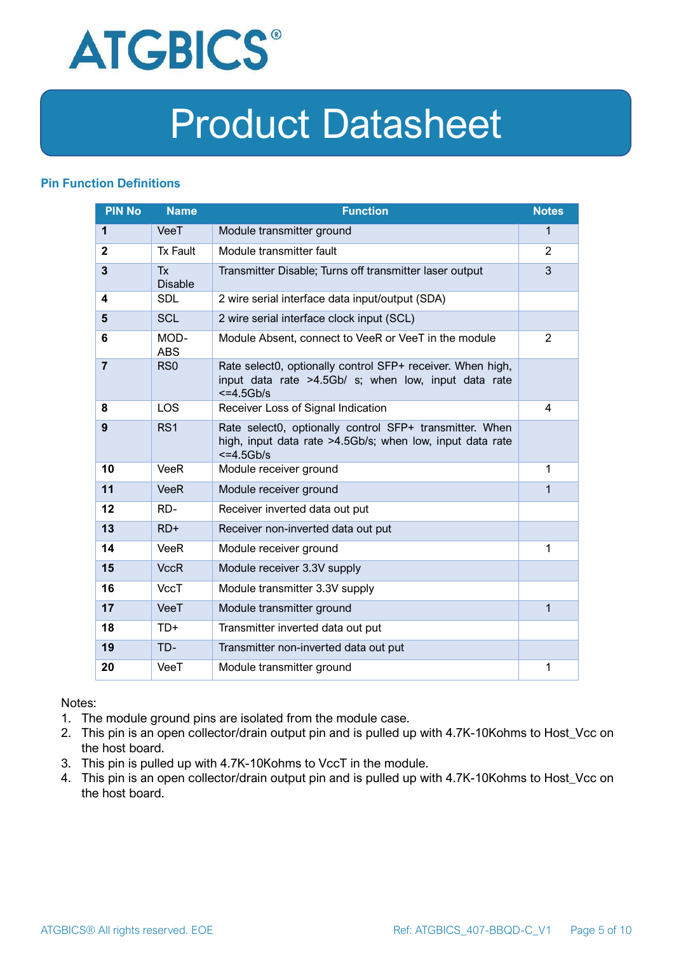

#### **Pin Function Definitions**

| <b>PIN No</b>  | <b>Name</b>                 | <b>Function</b>                                                                                                                       | <b>Notes</b>   |
|----------------|-----------------------------|---------------------------------------------------------------------------------------------------------------------------------------|----------------|
| $\mathbf{1}$   | VeeT                        | Module transmitter ground                                                                                                             | $\mathbf{1}$   |
| $\mathbf{2}$   | <b>Tx Fault</b>             | Module transmitter fault                                                                                                              | 2              |
| $\overline{3}$ | <b>Tx</b><br><b>Disable</b> | Transmitter Disable; Turns off transmitter laser output                                                                               | 3              |
| 4              | <b>SDL</b>                  | 2 wire serial interface data input/output (SDA)                                                                                       |                |
| 5              | <b>SCL</b>                  | 2 wire serial interface clock input (SCL)                                                                                             |                |
| 6              | MOD-<br><b>ABS</b>          | Module Absent, connect to VeeR or VeeT in the module                                                                                  | $\overline{2}$ |
| $\overline{7}$ | R <sub>S0</sub>             | Rate select0, optionally control SFP+ receiver. When high,<br>input data rate >4.5Gb/ s; when low, input data rate<br>$\leq$ =4.5Gb/s |                |
| 8              | <b>LOS</b>                  | Receiver Loss of Signal Indication                                                                                                    | 4              |
| 9              | RS <sub>1</sub>             | Rate select0, optionally control SFP+ transmitter. When<br>high, input data rate >4.5Gb/s; when low, input data rate<br>$<=4.5Gb/s$   |                |
| 10             | <b>VeeR</b>                 | Module receiver ground                                                                                                                | 1              |
| 11             | <b>VeeR</b>                 | Module receiver ground                                                                                                                | 1              |
| 12             | RD-                         | Receiver inverted data out put                                                                                                        |                |
| 13             | $RD+$                       | Receiver non-inverted data out put                                                                                                    |                |
| 14             | VeeR                        | Module receiver ground                                                                                                                | 1              |
| 15             | <b>VccR</b>                 | Module receiver 3.3V supply                                                                                                           |                |
| 16             | <b>VccT</b>                 | Module transmitter 3.3V supply                                                                                                        |                |
| 17             | VeeT                        | Module transmitter ground                                                                                                             | $\mathbf{1}$   |
| 18             | $TD+$                       | Transmitter inverted data out put                                                                                                     |                |
| 19             | TD-                         | Transmitter non-inverted data out put                                                                                                 |                |
| 20             | VeeT                        | Module transmitter ground                                                                                                             | 1              |

Notes:

- 1. The module ground pins are isolated from the module case.
- 2. This pin is an open collector/drain output pin and is pulled up with 4.7K-10Kohms to Host\_Vcc on the host board.
- 3. This pin is pulled up with 4.7K-10Kohms to VccT in the module.
- 4. This pin is an open collector/drain output pin and is pulled up with 4.7K-10Kohms to Host Vcc on the host board.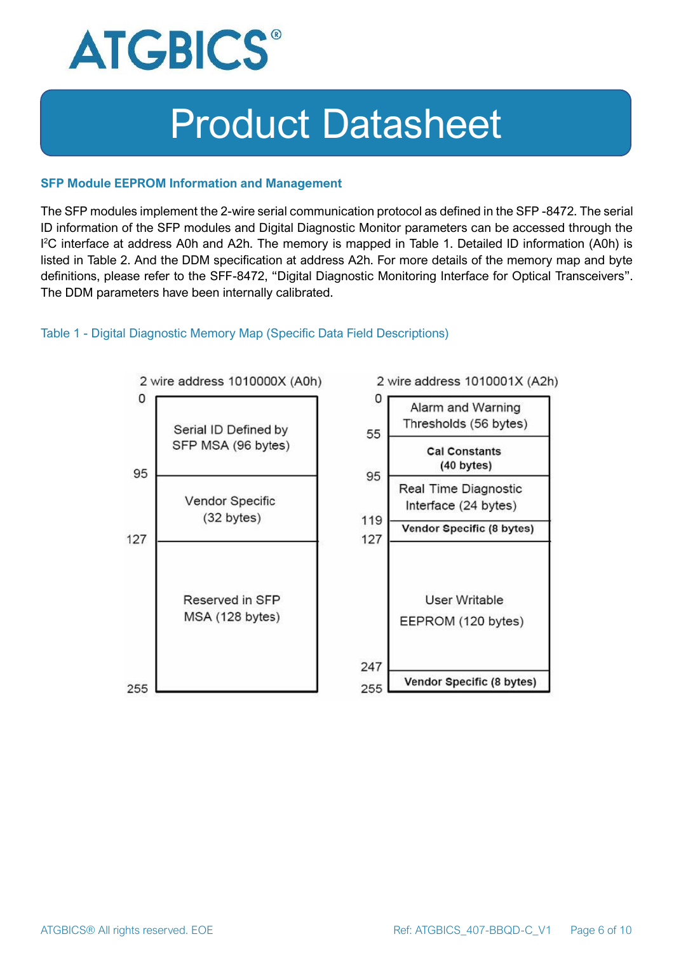

#### **SFP Module EEPROM Information and Management**

The SFP modules implement the 2-wire serial communication protocol as defined in the SFP -8472. The serial ID information of the SFP modules and Digital Diagnostic Monitor parameters can be accessed through the I <sup>2</sup>C interface at address A0h and A2h. The memory is mapped in Table 1. Detailed ID information (A0h) is listed in Table 2. And the DDM specification at address A2h. For more details of the memory map and byte definitions, please refer to the SFF-8472, "Digital Diagnostic Monitoring Interface for Optical Transceivers". The DDM parameters have been internally calibrated.

#### Table 1 - Digital Diagnostic Memory Map (Specific Data Field Descriptions)

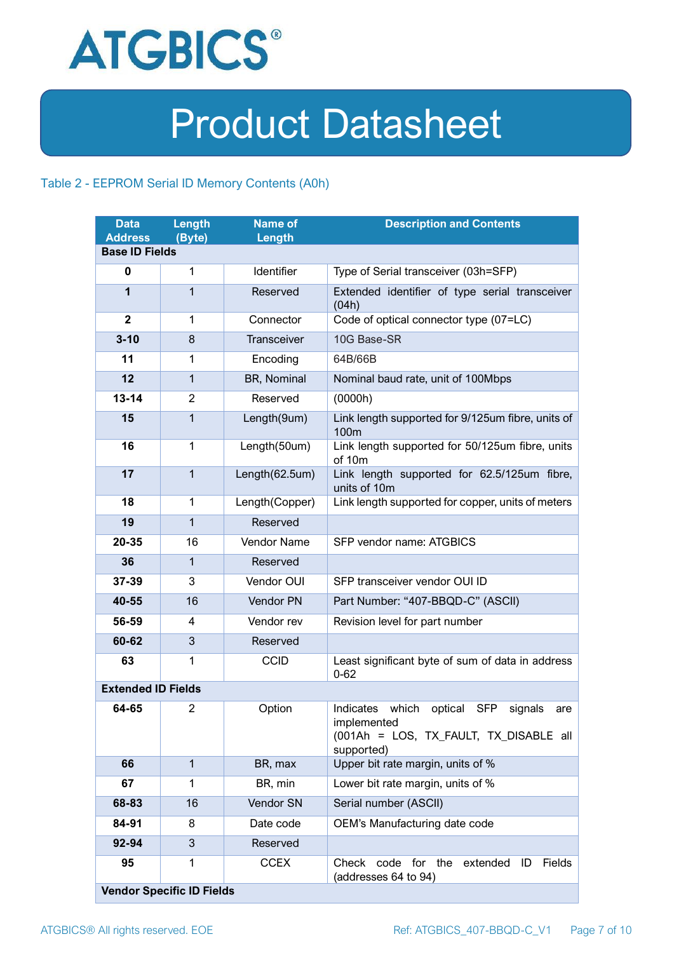

#### Table 2 - EEPROM Serial ID Memory Contents (A0h)

| <b>Data</b><br><b>Address</b> | Length<br>(Byte)                 | <b>Name of</b><br>Length | <b>Description and Contents</b>                                                                                                   |
|-------------------------------|----------------------------------|--------------------------|-----------------------------------------------------------------------------------------------------------------------------------|
| <b>Base ID Fields</b>         |                                  |                          |                                                                                                                                   |
| $\mathbf 0$                   | 1                                | Identifier               | Type of Serial transceiver (03h=SFP)                                                                                              |
| 1                             | $\mathbf{1}$                     | Reserved                 | Extended identifier of type serial transceiver<br>(04h)                                                                           |
| $\mathbf{2}$                  | 1                                | Connector                | Code of optical connector type (07=LC)                                                                                            |
| $3 - 10$                      | 8                                | Transceiver              | 10G Base-SR                                                                                                                       |
| 11                            | 1                                | Encoding                 | 64B/66B                                                                                                                           |
| 12                            | $\mathbf{1}$                     | BR, Nominal              | Nominal baud rate, unit of 100Mbps                                                                                                |
| $13 - 14$                     | $\overline{2}$                   | Reserved                 | (0000h)                                                                                                                           |
| 15                            | $\mathbf{1}$                     | Length(9um)              | Link length supported for 9/125um fibre, units of<br>100 <sub>m</sub>                                                             |
| 16                            | $\mathbf 1$                      | Length(50um)             | Link length supported for 50/125um fibre, units<br>of 10m                                                                         |
| 17                            | $\mathbf{1}$                     | Length(62.5um)           | Link length supported for 62.5/125um fibre,<br>units of 10m                                                                       |
| 18                            | $\mathbf{1}$                     | Length(Copper)           | Link length supported for copper, units of meters                                                                                 |
| 19                            | $\mathbf{1}$                     | Reserved                 |                                                                                                                                   |
| 20-35                         | 16                               | <b>Vendor Name</b>       | SFP vendor name: ATGBICS                                                                                                          |
| 36                            | $\mathbf{1}$                     | Reserved                 |                                                                                                                                   |
| 37-39                         | 3                                | Vendor OUI               | SFP transceiver vendor OUI ID                                                                                                     |
| 40-55                         | 16                               | Vendor PN                | Part Number: "407-BBQD-C" (ASCII)                                                                                                 |
| 56-59                         | 4                                | Vendor rev               | Revision level for part number                                                                                                    |
| 60-62                         | 3                                | Reserved                 |                                                                                                                                   |
| 63                            | 1                                | <b>CCID</b>              | Least significant byte of sum of data in address<br>$0 - 62$                                                                      |
| <b>Extended ID Fields</b>     |                                  |                          |                                                                                                                                   |
| 64-65                         | $\overline{2}$                   | Option                   | Indicates which<br>optical<br><b>SFP</b><br>signals<br>are<br>implemented<br>(001Ah = LOS, TX_FAULT, TX_DISABLE all<br>supported) |
| 66                            | $\mathbf{1}$                     | BR, max                  | Upper bit rate margin, units of %                                                                                                 |
| 67                            | 1                                | BR, min                  | Lower bit rate margin, units of %                                                                                                 |
| 68-83                         | 16                               | Vendor SN                | Serial number (ASCII)                                                                                                             |
| 84-91                         | 8                                | Date code                | OEM's Manufacturing date code                                                                                                     |
| 92-94                         | 3                                | Reserved                 |                                                                                                                                   |
| 95                            | 1                                | <b>CCEX</b>              | code for the<br>Fields<br>Check<br>extended<br>ID<br>(addresses 64 to 94)                                                         |
|                               | <b>Vendor Specific ID Fields</b> |                          |                                                                                                                                   |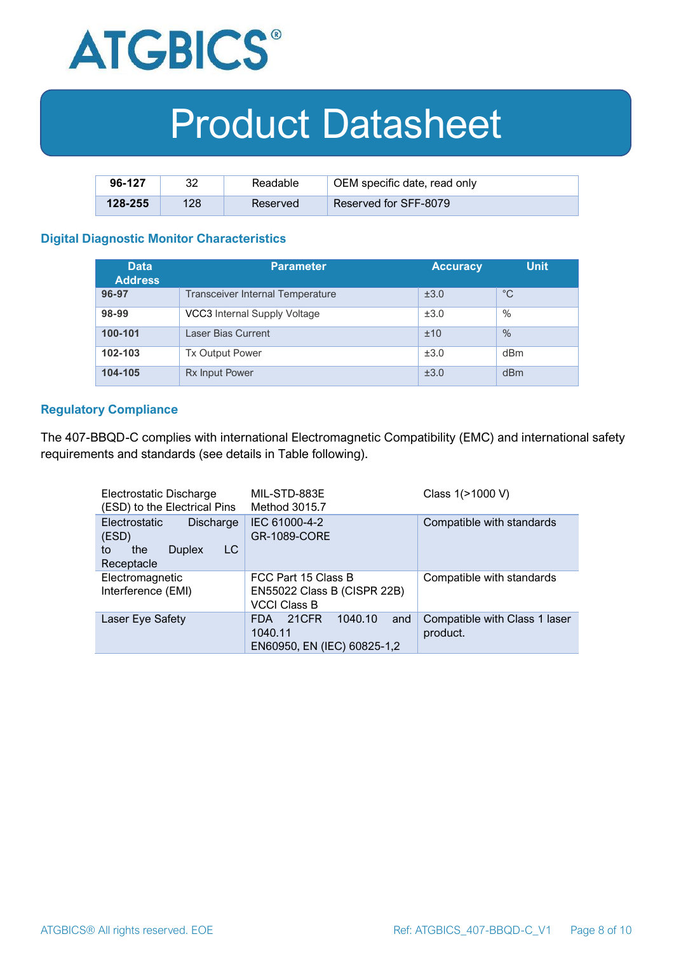

| 96-127      | ററ  | Readable | OEM specific date, read only |
|-------------|-----|----------|------------------------------|
| $128 - 255$ | 128 | Reserved | Reserved for SFF-8079        |

#### **Digital Diagnostic Monitor Characteristics**

| <b>Data</b><br><b>Address</b> | <b>Parameter</b>                 | <b>Accuracy</b> | Unit,         |
|-------------------------------|----------------------------------|-----------------|---------------|
| 96-97                         | Transceiver Internal Temperature | ±3.0            | $^{\circ}C$   |
| 98-99                         | VCC3 Internal Supply Voltage     | ±3.0            | %             |
| 100-101                       | Laser Bias Current               | ±10             | $\frac{0}{0}$ |
| 102-103                       | <b>Tx Output Power</b>           | ±3.0            | dBm           |
| 104-105                       | <b>Rx Input Power</b>            | ±3.0            | dBm           |

#### **Regulatory Compliance**

The 407-BBQD-C complies with international Electromagnetic Compatibility (EMC) and international safety requirements and standards (see details in Table following).

| Electrostatic Discharge<br>(ESD) to the Electrical Pins                               | MIL-STD-883E<br>Method 3015.7                                             | Class 1(>1000 V)                          |
|---------------------------------------------------------------------------------------|---------------------------------------------------------------------------|-------------------------------------------|
| Electrostatic<br>Discharge<br>(ESD)<br>LC<br>the<br><b>Duplex</b><br>to<br>Receptacle | IEC 61000-4-2<br><b>GR-1089-CORE</b>                                      | Compatible with standards                 |
| Electromagnetic<br>Interference (EMI)                                                 | FCC Part 15 Class B<br>EN55022 Class B (CISPR 22B)<br><b>VCCI Class B</b> | Compatible with standards                 |
| Laser Eye Safety                                                                      | 1040.10<br>21CFR<br>and<br>FDA.<br>1040.11<br>EN60950, EN (IEC) 60825-1,2 | Compatible with Class 1 laser<br>product. |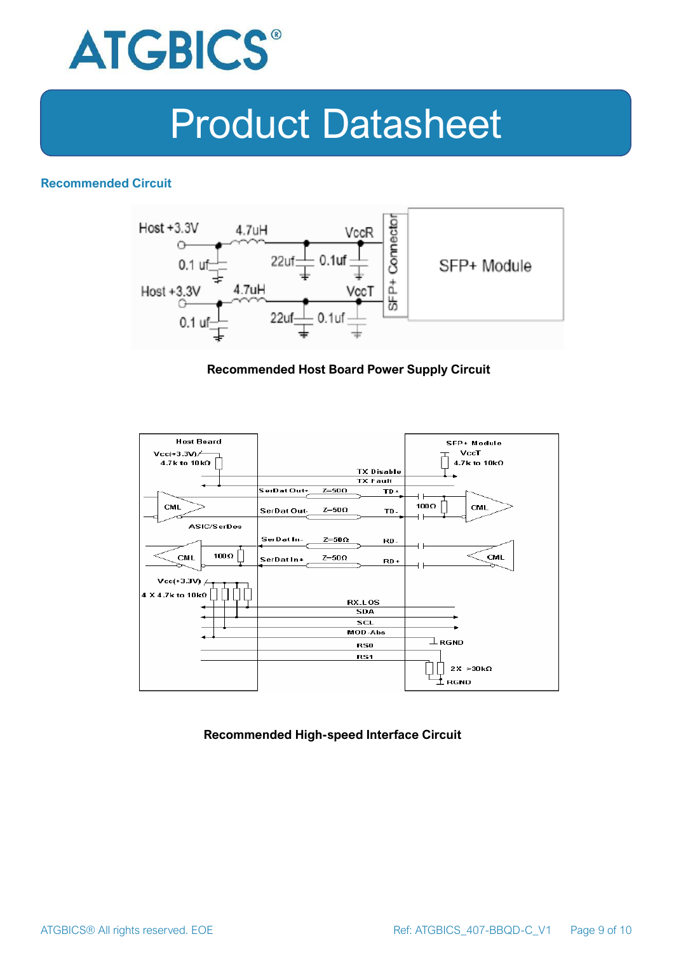

#### **Recommended Circuit**



#### **Recommended Host Board Power Supply Circuit**



**Recommended High-speed Interface Circuit**